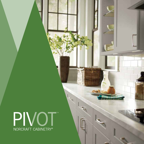

 $\sim$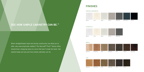# SEE HOW SIMPLE CABINETRY CAN BE.<sup>™</sup>

When straightforward style and sturdy construction are what you're after, why overcomplicate matters? The Norcraft® Pivot™ Series offers streamlined, strapping style at a price that won't break the bank. Get started today and see just how simple cabinetry can be.



## FINISHES

PAINTED HARDWOOD







MAPLE





OAK



### PURESTYLE

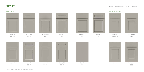Detailed SO  $(M)$ 



Traditional SO  $\textcircled{\tiny{M}}\textcircled{\tiny{P}}\textcircled{\tiny{I}}$ 

Simple SO  $MPOO$  P





Slim SO  $\textcircled{\tiny{M}}\textcircled{\tiny{P}}\textcircled{\tiny{I}}$ 

# $\circledast$   $\blacksquare$   $\blacksquare$   $\blacksquare$   $\blacksquare$   $\blacksquare$   $\blacksquare$   $\blacksquare$   $\blacksquare$   $\blacksquare$   $\blacksquare$   $\blacksquare$   $\blacksquare$   $\blacksquare$   $\blacksquare$   $\blacksquare$   $\blacksquare$   $\blacksquare$   $\blacksquare$   $\blacksquare$   $\blacksquare$   $\blacksquare$   $\blacksquare$   $\blacksquare$   $\blacksquare$   $\blacksquare$   $\blacksquare$   $\blacksquare$   $\blacksquare$   $\blacksquare$   $\blacksquare$   $\blacks$



Simple FO  $\circledR\Pi$ 



Simple FO  $\textcircled{M}\textcircled{P} \quad \textcircled{P}$ 

Detailed FO  $\textcircled{\scriptsize{M}}\textcircled{\scriptsize{F}}$ 



Detailed FO  $\textcircled{\scriptsize{M}}(\mathbb{P})$ 





**Common** Brawny FO  $\textcircled{M}\textcircled{P} \quad \boxed{\text{P}}$ 



Traditional FO  $\circledR$ 



 $\frac{2}{2}$  and  $\frac{2}{2}$   $\frac{2}{2}$   $\frac{2}{2}$   $\frac{2}{2}$   $\frac{2}{2}$   $\frac{2}{2}$   $\frac{2}{2}$   $\frac{2}{2}$   $\frac{2}{2}$   $\frac{2}{2}$   $\frac{2}{2}$ Traditional FO  $\textcircled{\scriptsize{M}}(\mathbb{P})$ 









### FULL OVERLAY STANDARD OVERLAY

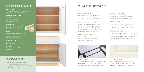### STABLE AND DURABLE.

PureStyle combines the beauty of paint with resistance to moisture, warping, expansion and contraction, making it ideal for high moisture areas.

### ENGINEERED FOR STRENGTH

Wrapped door and drawer front components offer a 5-piece construction that emulates the look of a painted door style. It's natural channel accepts fixative for improved door strength while reducing the ability for moisture to enter.

### UNMATCHED BENEFITS.

With less visible changes to surface appearance due to use and aging, PureStyle offers stability and consistency over time.



### A PROVEN PERFORMER.

Like all Pivot ™ products, PureStyle has been subjected to rigorous KCMA performance testing and has met or exceeded all certification requirements.

### CLEANS BEAUTIFULLY.

A clean cloth dampened with a solution of 5% dish soap and 95% water is all it takes to clean PureStyle cabinetry. Dry with a clean, soft cloth.

• Top, bottom and back: 3/8" thick particleboard • Sides: 1/2" thick particleboard

### ON-TREND AND IN DEMAND.

**HINGES** Concealed, 6-way adjustable cup hinge

PureStyle offers crisp, clean details and a quality finish. The added benefits of color consistency paired with the resistance to scratching, fading and surface water mean PureStyle delivers fashion without the fuss.



Unfinished particleboard; field-applied overlay is required

### 5-PIECE CONSTRUCTION.

As opposed to thermofoil, which is a routed slab product, PureStyle boasts a true 5-piece construction that effectively emulates the look of painted wood cabinets.

### EXCEPTIONAL FINISH.

PureStyle features color consistency without the unpredictable variability often seen by various wood types. The surface regularity of PureStyle results in a fashionable, clean-lined aesthetic.

### STANDARD CONSTRUCTION

### CABINET BOX

EXTERIOR CABINET SIDES Matching laminate\*

CABINET INTERIOR Natural Maple laminate

#### DRAWER BOX

4-sided Natural Maple laminated particleboard with 3/4 extension, side mounted glides

I-BEAM STRETCHER RAILS 3/8" Thick particleboard

ADJUSTABLE SHELF Particleboard with Natural Maple laminate and PVC edgebanding

### **TOEKICK**

\* Exteriors are laminate that match the color of the face frame, with the exception of Ebony.

- All plywood construction cabinet box
- Plywood ends construction cabinet box
- QuietClose ™ wood dovetail drawer and roll tray box
- QuietClose ™ door hinges



# WHAT IS PURESTYLE™?

### UPGRADE OPTIONS